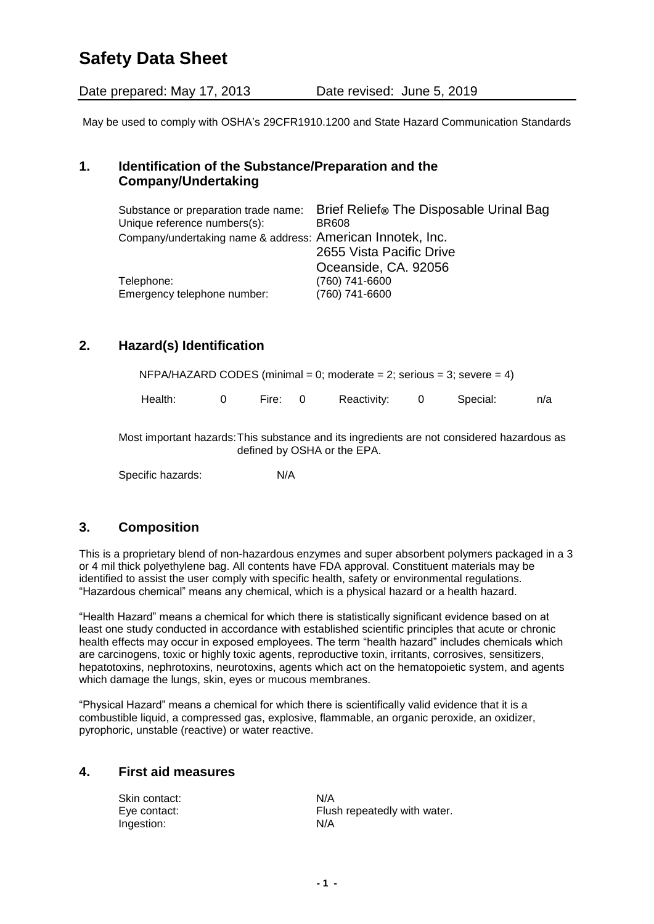# **Safety Data Sheet**

Date prepared: May 17, 2013 Date revised: June 5, 2019

May be used to comply with OSHA's 29CFR1910.1200 and State Hazard Communication Standards

#### **1. Identification of the Substance/Preparation and the Company/Undertaking**

| Substance or preparation trade name:<br>Unique reference numbers(s): | Brief Relief® The Disposable Urinal Bag<br><b>BR608</b> |
|----------------------------------------------------------------------|---------------------------------------------------------|
| Company/undertaking name & address: American Innotek, Inc.           |                                                         |
|                                                                      | 2655 Vista Pacific Drive                                |
|                                                                      | Oceanside, CA. 92056                                    |
| Telephone:                                                           | (760) 741-6600                                          |
| Emergency telephone number:                                          | (760) 741-6600                                          |

### **2. Hazard(s) Identification**

 $NFPA/HAZARD CODES (minimal = 0; moderate = 2; serious = 3; severe = 4)$ 

Health: 0 Fire: 0 Reactivity: 0 Special: n/a

Most important hazards:This substance and its ingredients are not considered hazardous as defined by OSHA or the EPA.

Specific hazards: N/A

### **3. Composition**

This is a proprietary blend of non-hazardous enzymes and super absorbent polymers packaged in a 3 or 4 mil thick polyethylene bag. All contents have FDA approval. Constituent materials may be identified to assist the user comply with specific health, safety or environmental regulations. "Hazardous chemical" means any chemical, which is a physical hazard or a health hazard.

"Health Hazard" means a chemical for which there is statistically significant evidence based on at least one study conducted in accordance with established scientific principles that acute or chronic health effects may occur in exposed employees. The term "health hazard" includes chemicals which are carcinogens, toxic or highly toxic agents, reproductive toxin, irritants, corrosives, sensitizers, hepatotoxins, nephrotoxins, neurotoxins, agents which act on the hematopoietic system, and agents which damage the lungs, skin, eyes or mucous membranes.

"Physical Hazard" means a chemical for which there is scientifically valid evidence that it is a combustible liquid, a compressed gas, explosive, flammable, an organic peroxide, an oxidizer, pyrophoric, unstable (reactive) or water reactive.

#### **4. First aid measures**

| Skin contact: | N/A                          |
|---------------|------------------------------|
| Eye contact:  | Flush repeatedly with water. |
| Ingestion:    | N/A                          |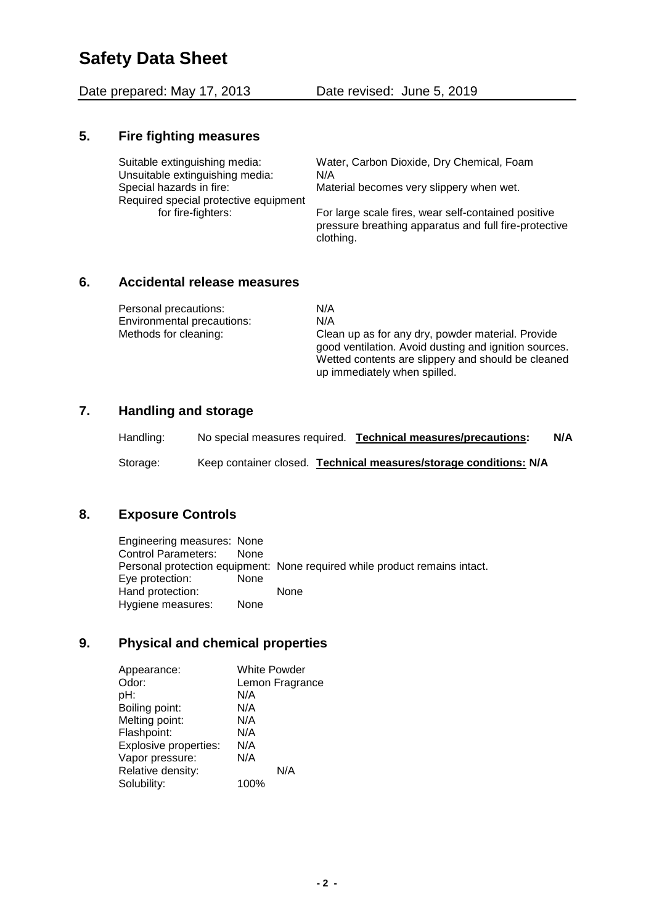# **Safety Data Sheet**

Date prepared: May 17, 2013 Date revised: June 5, 2019

#### **5. Fire fighting measures**

Unsuitable extinguishing media: N/A Special hazards in fire: Material becomes very slippery when wet. Required special protective equipment

Suitable extinguishing media: Water, Carbon Dioxide, Dry Chemical, Foam

for fire-fighters: For large scale fires, wear self-contained positive pressure breathing apparatus and full fire-protective clothing.

### **6. Accidental release measures**

| Personal precautions:             | N/A                                                                                                                                                                                              |
|-----------------------------------|--------------------------------------------------------------------------------------------------------------------------------------------------------------------------------------------------|
| <b>Environmental precautions:</b> | N/A                                                                                                                                                                                              |
| Methods for cleaning:             | Clean up as for any dry, powder material. Provide<br>good ventilation. Avoid dusting and ignition sources.<br>Wetted contents are slippery and should be cleaned<br>up immediately when spilled. |

### **7. Handling and storage**

| Handling: | No special measures required. | Technical measures/precautions:                                   | N/A |
|-----------|-------------------------------|-------------------------------------------------------------------|-----|
| Storage:  |                               | Keep container closed. Technical measures/storage conditions: N/A |     |

## **8. Exposure Controls**

Engineering measures: None Control Parameters: None Personal protection equipment: None required while product remains intact. Eye protection: None Hand protection: None Hygiene measures: None

### **9. Physical and chemical properties**

| Appearance:           | <b>White Powder</b> |
|-----------------------|---------------------|
| Odor:                 | Lemon Fragrance     |
| pH:                   | N/A                 |
| Boiling point:        | N/A                 |
| Melting point:        | N/A                 |
| Flashpoint:           | N/A                 |
| Explosive properties: | N/A                 |
| Vapor pressure:       | N/A                 |
| Relative density:     | N/A                 |
| Solubility:           | 100%                |
|                       |                     |